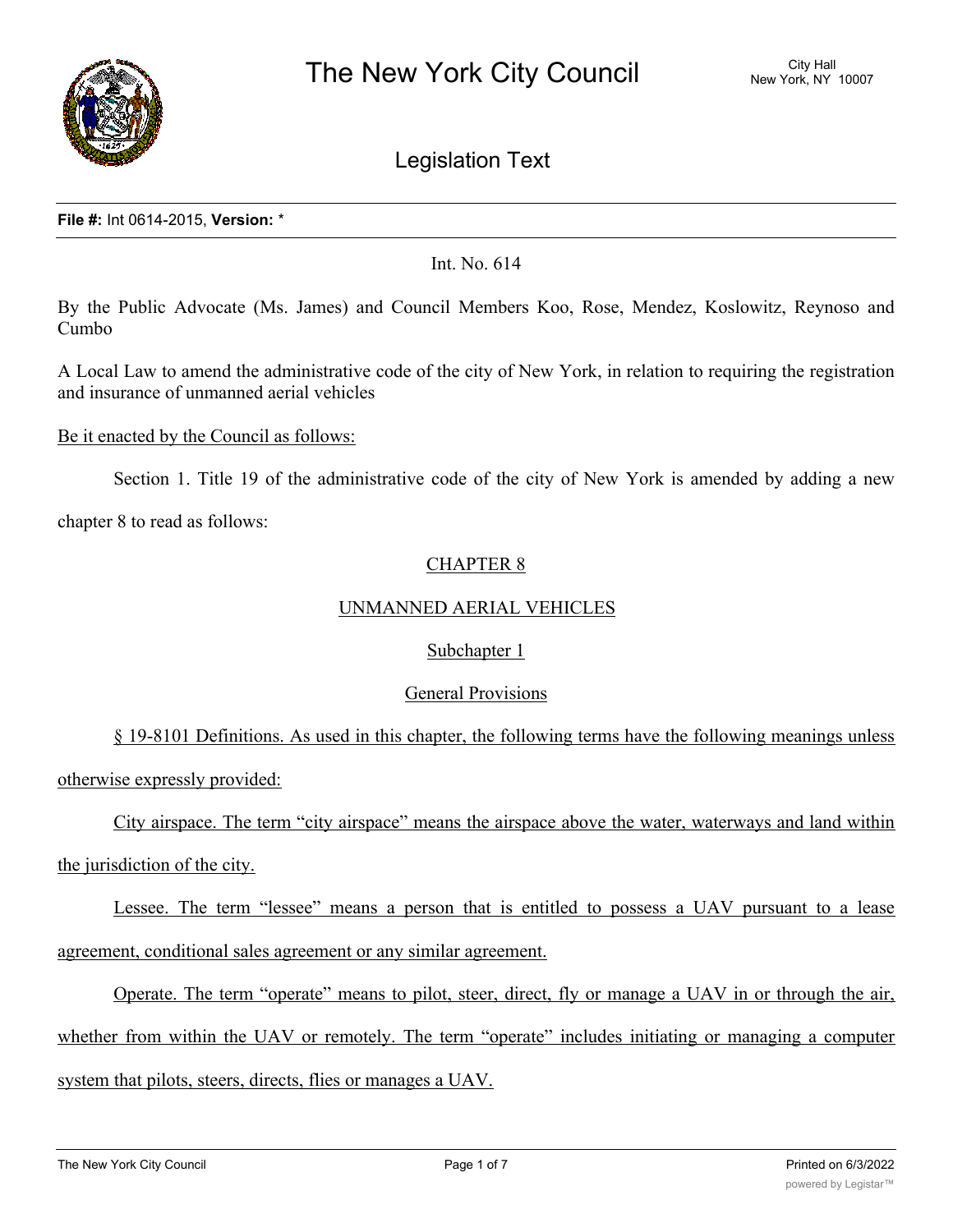

# Legislation Text

#### **File #:** Int 0614-2015, **Version:** \*

## Int. No. 614

By the Public Advocate (Ms. James) and Council Members Koo, Rose, Mendez, Koslowitz, Reynoso and Cumbo

A Local Law to amend the administrative code of the city of New York, in relation to requiring the registration and insurance of unmanned aerial vehicles

#### Be it enacted by the Council as follows:

Section 1. Title 19 of the administrative code of the city of New York is amended by adding a new

chapter 8 to read as follows:

## CHAPTER 8

## UNMANNED AERIAL VEHICLES

## Subchapter 1

## General Provisions

§ 19-8101 Definitions. As used in this chapter, the following terms have the following meanings unless otherwise expressly provided:

City airspace. The term "city airspace" means the airspace above the water, waterways and land within the jurisdiction of the city.

Lessee. The term "lessee" means a person that is entitled to possess a UAV pursuant to a lease agreement, conditional sales agreement or any similar agreement.

Operate. The term "operate" means to pilot, steer, direct, fly or manage a UAV in or through the air, whether from within the UAV or remotely. The term "operate" includes initiating or managing a computer system that pilots, steers, directs, flies or manages a UAV.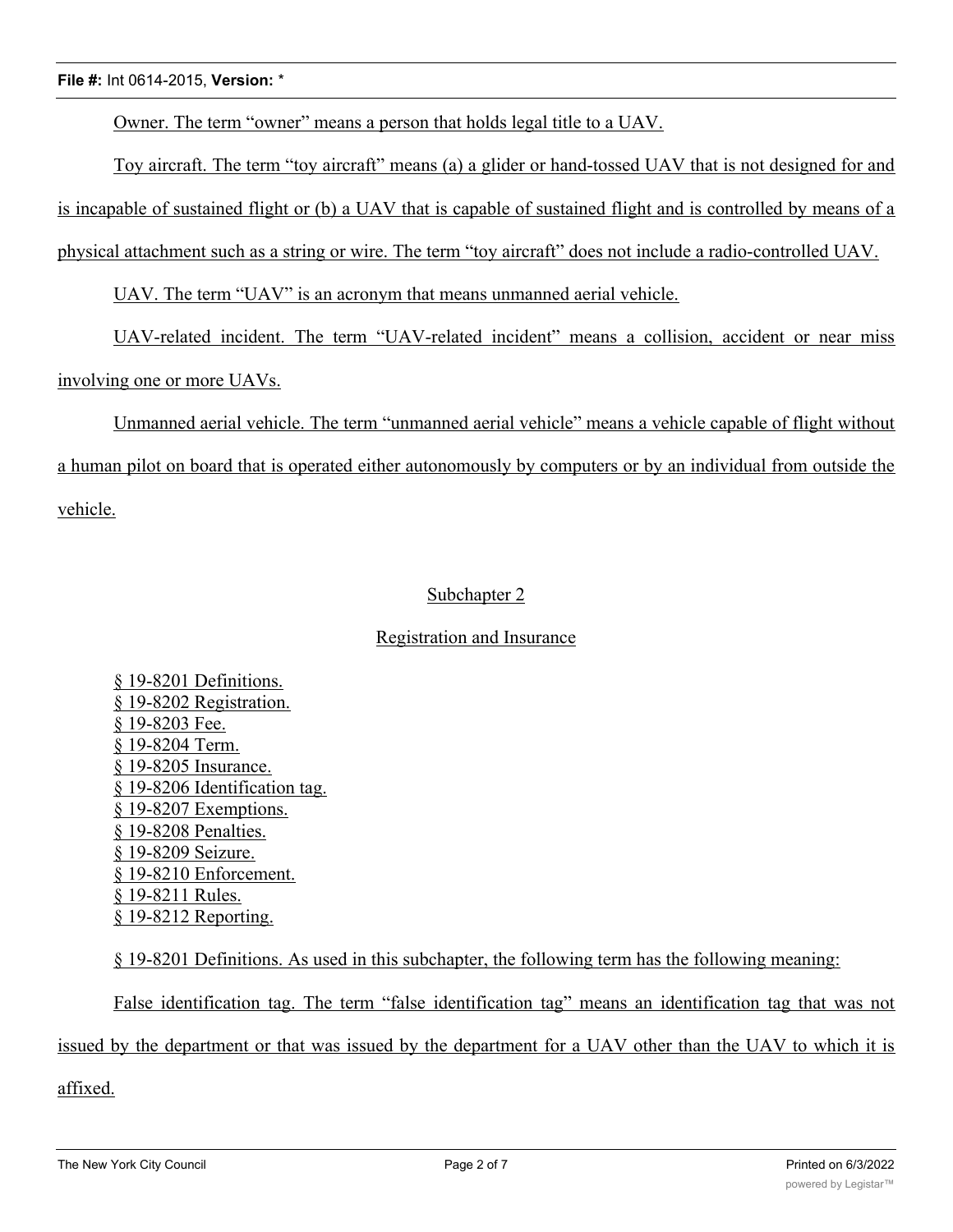Owner. The term "owner" means a person that holds legal title to a UAV.

Toy aircraft. The term "toy aircraft" means (a) a glider or hand-tossed UAV that is not designed for and

is incapable of sustained flight or (b) a UAV that is capable of sustained flight and is controlled by means of a

physical attachment such as a string or wire. The term "toy aircraft" does not include a radio-controlled UAV.

UAV. The term "UAV" is an acronym that means unmanned aerial vehicle.

UAV-related incident. The term "UAV-related incident" means a collision, accident or near miss

involving one or more UAVs.

Unmanned aerial vehicle. The term "unmanned aerial vehicle" means a vehicle capable of flight without a human pilot on board that is operated either autonomously by computers or by an individual from outside the vehicle.

## Subchapter 2

## Registration and Insurance

§ 19-8201 Definitions. § 19-8202 Registration. § 19-8203 Fee. § 19-8204 Term. § 19-8205 Insurance. § 19-8206 Identification tag. § 19-8207 Exemptions. § 19-8208 Penalties. § 19-8209 Seizure. § 19-8210 Enforcement. § 19-8211 Rules. § 19-8212 Reporting.

§ 19-8201 Definitions. As used in this subchapter, the following term has the following meaning:

False identification tag. The term "false identification tag" means an identification tag that was not issued by the department or that was issued by the department for a UAV other than the UAV to which it is

affixed.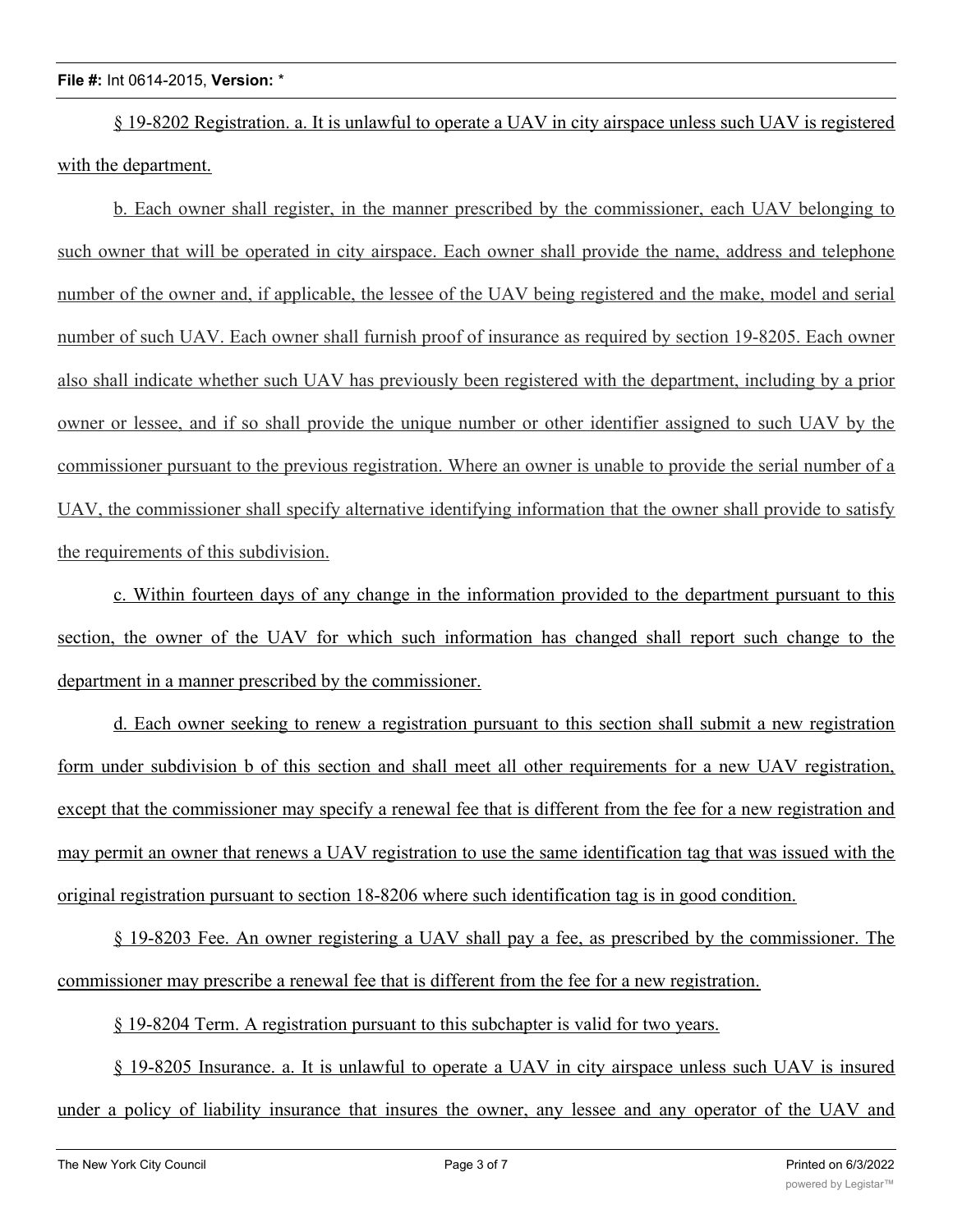§ 19-8202 Registration. a. It is unlawful to operate a UAV in city airspace unless such UAV is registered with the department.

b. Each owner shall register, in the manner prescribed by the commissioner, each UAV belonging to such owner that will be operated in city airspace. Each owner shall provide the name, address and telephone number of the owner and, if applicable, the lessee of the UAV being registered and the make, model and serial number of such UAV. Each owner shall furnish proof of insurance as required by section 19-8205. Each owner also shall indicate whether such UAV has previously been registered with the department, including by a prior owner or lessee, and if so shall provide the unique number or other identifier assigned to such UAV by the commissioner pursuant to the previous registration. Where an owner is unable to provide the serial number of a UAV, the commissioner shall specify alternative identifying information that the owner shall provide to satisfy the requirements of this subdivision.

c. Within fourteen days of any change in the information provided to the department pursuant to this section, the owner of the UAV for which such information has changed shall report such change to the department in a manner prescribed by the commissioner.

d. Each owner seeking to renew a registration pursuant to this section shall submit a new registration form under subdivision b of this section and shall meet all other requirements for a new UAV registration, except that the commissioner may specify a renewal fee that is different from the fee for a new registration and may permit an owner that renews a UAV registration to use the same identification tag that was issued with the original registration pursuant to section 18-8206 where such identification tag is in good condition.

§ 19-8203 Fee. An owner registering a UAV shall pay a fee, as prescribed by the commissioner. The commissioner may prescribe a renewal fee that is different from the fee for a new registration.

§ 19-8204 Term. A registration pursuant to this subchapter is valid for two years.

§ 19-8205 Insurance. a. It is unlawful to operate a UAV in city airspace unless such UAV is insured under a policy of liability insurance that insures the owner, any lessee and any operator of the UAV and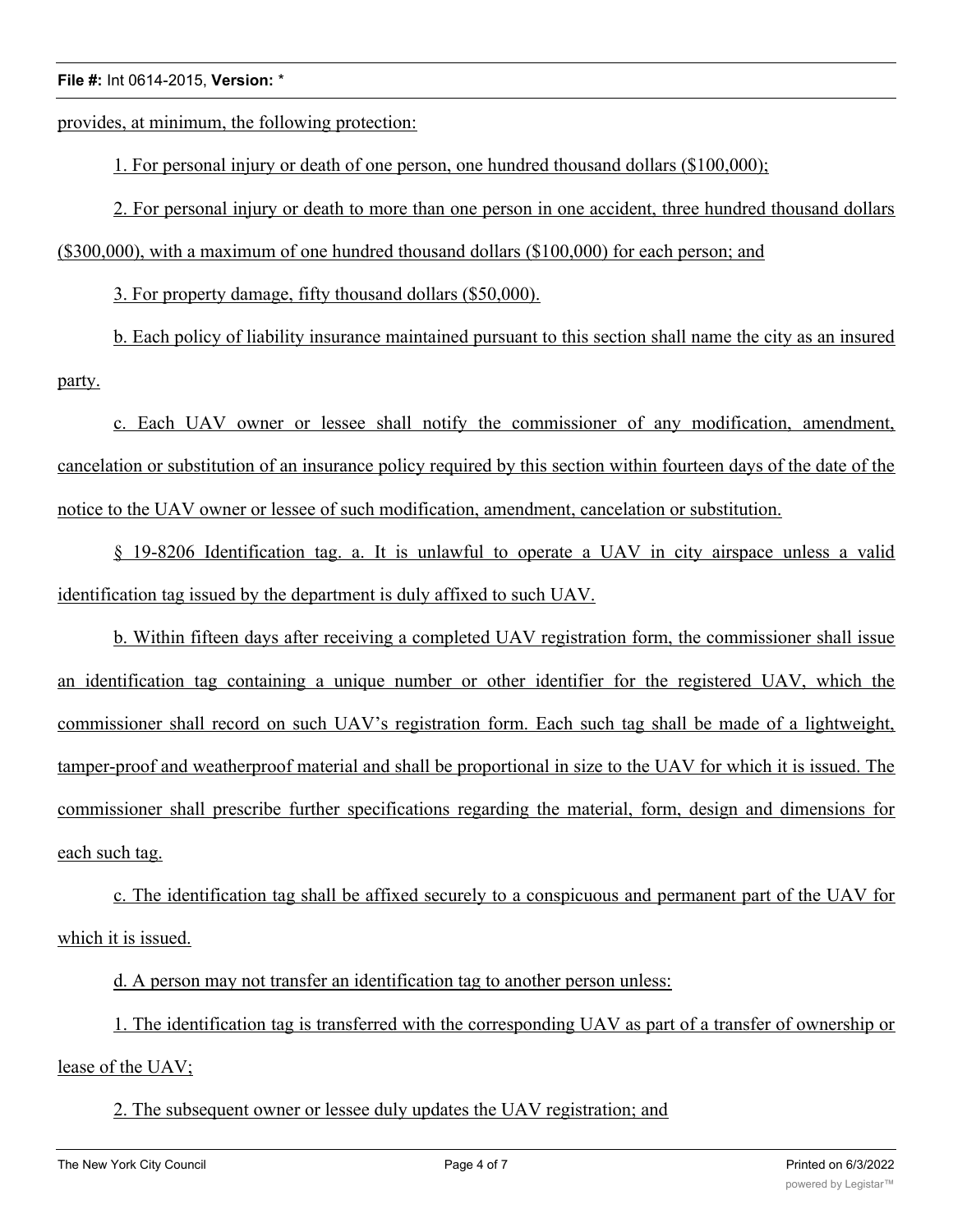provides, at minimum, the following protection:

1. For personal injury or death of one person, one hundred thousand dollars (\$100,000);

2. For personal injury or death to more than one person in one accident, three hundred thousand dollars

(\$300,000), with a maximum of one hundred thousand dollars (\$100,000) for each person; and

3. For property damage, fifty thousand dollars (\$50,000).

b. Each policy of liability insurance maintained pursuant to this section shall name the city as an insured party.

c. Each UAV owner or lessee shall notify the commissioner of any modification, amendment, cancelation or substitution of an insurance policy required by this section within fourteen days of the date of the notice to the UAV owner or lessee of such modification, amendment, cancelation or substitution.

§ 19-8206 Identification tag. a. It is unlawful to operate a UAV in city airspace unless a valid identification tag issued by the department is duly affixed to such UAV.

b. Within fifteen days after receiving a completed UAV registration form, the commissioner shall issue an identification tag containing a unique number or other identifier for the registered UAV, which the commissioner shall record on such UAV's registration form. Each such tag shall be made of a lightweight, tamper-proof and weatherproof material and shall be proportional in size to the UAV for which it is issued. The commissioner shall prescribe further specifications regarding the material, form, design and dimensions for each such tag.

c. The identification tag shall be affixed securely to a conspicuous and permanent part of the UAV for which it is issued.

d. A person may not transfer an identification tag to another person unless:

1. The identification tag is transferred with the corresponding UAV as part of a transfer of ownership or lease of the UAV;

2. The subsequent owner or lessee duly updates the UAV registration; and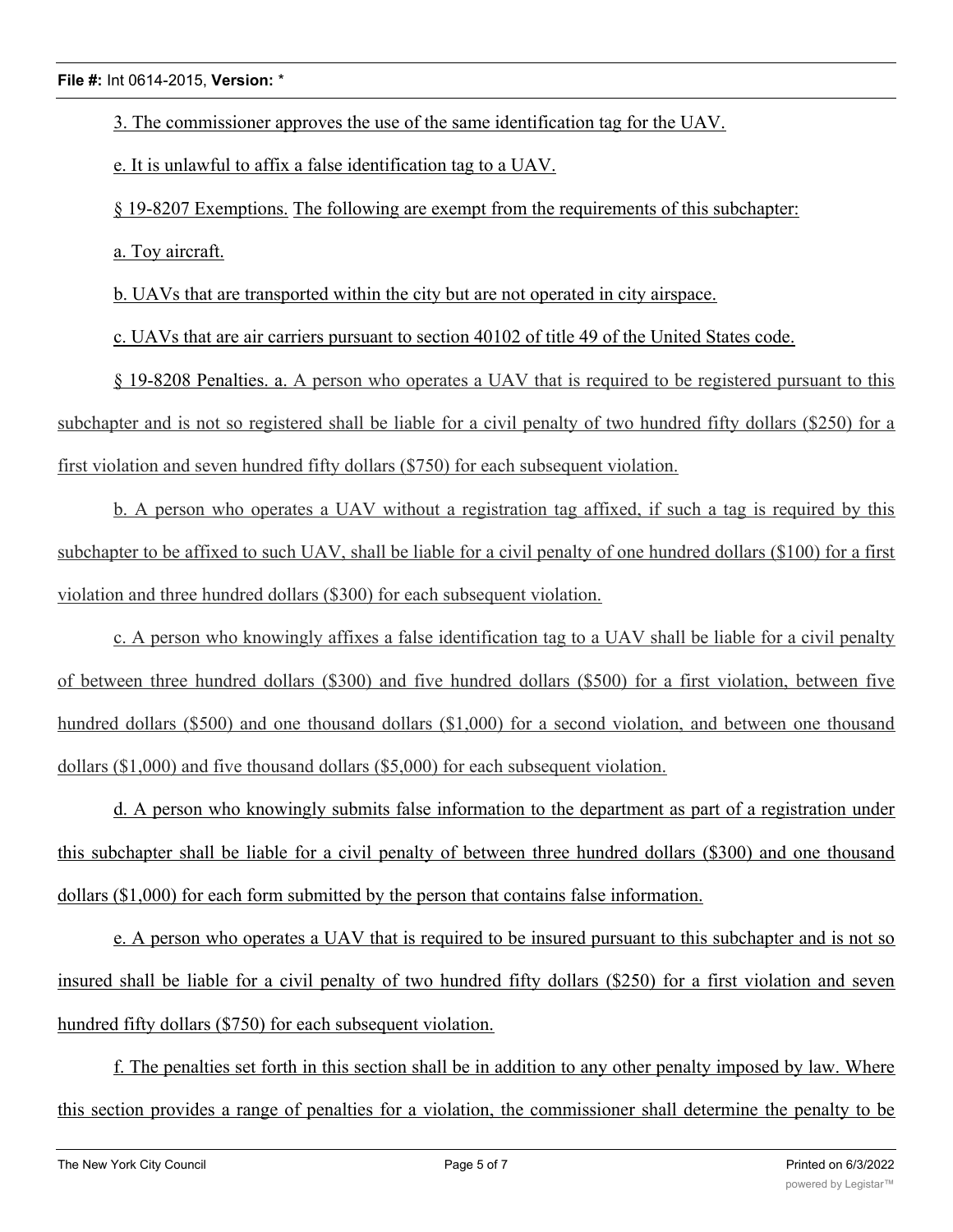3. The commissioner approves the use of the same identification tag for the UAV.

e. It is unlawful to affix a false identification tag to a UAV.

§ 19-8207 Exemptions. The following are exempt from the requirements of this subchapter:

a. Toy aircraft.

b. UAVs that are transported within the city but are not operated in city airspace.

c. UAVs that are air carriers pursuant to section 40102 of title 49 of the United States code.

§ 19-8208 Penalties. a. A person who operates a UAV that is required to be registered pursuant to this subchapter and is not so registered shall be liable for a civil penalty of two hundred fifty dollars (\$250) for a first violation and seven hundred fifty dollars (\$750) for each subsequent violation.

b. A person who operates a UAV without a registration tag affixed, if such a tag is required by this subchapter to be affixed to such UAV, shall be liable for a civil penalty of one hundred dollars (\$100) for a first violation and three hundred dollars (\$300) for each subsequent violation.

c. A person who knowingly affixes a false identification tag to a UAV shall be liable for a civil penalty of between three hundred dollars (\$300) and five hundred dollars (\$500) for a first violation, between five hundred dollars (\$500) and one thousand dollars (\$1,000) for a second violation, and between one thousand dollars (\$1,000) and five thousand dollars (\$5,000) for each subsequent violation.

d. A person who knowingly submits false information to the department as part of a registration under this subchapter shall be liable for a civil penalty of between three hundred dollars (\$300) and one thousand dollars (\$1,000) for each form submitted by the person that contains false information.

e. A person who operates a UAV that is required to be insured pursuant to this subchapter and is not so insured shall be liable for a civil penalty of two hundred fifty dollars (\$250) for a first violation and seven hundred fifty dollars (\$750) for each subsequent violation.

f. The penalties set forth in this section shall be in addition to any other penalty imposed by law. Where this section provides a range of penalties for a violation, the commissioner shall determine the penalty to be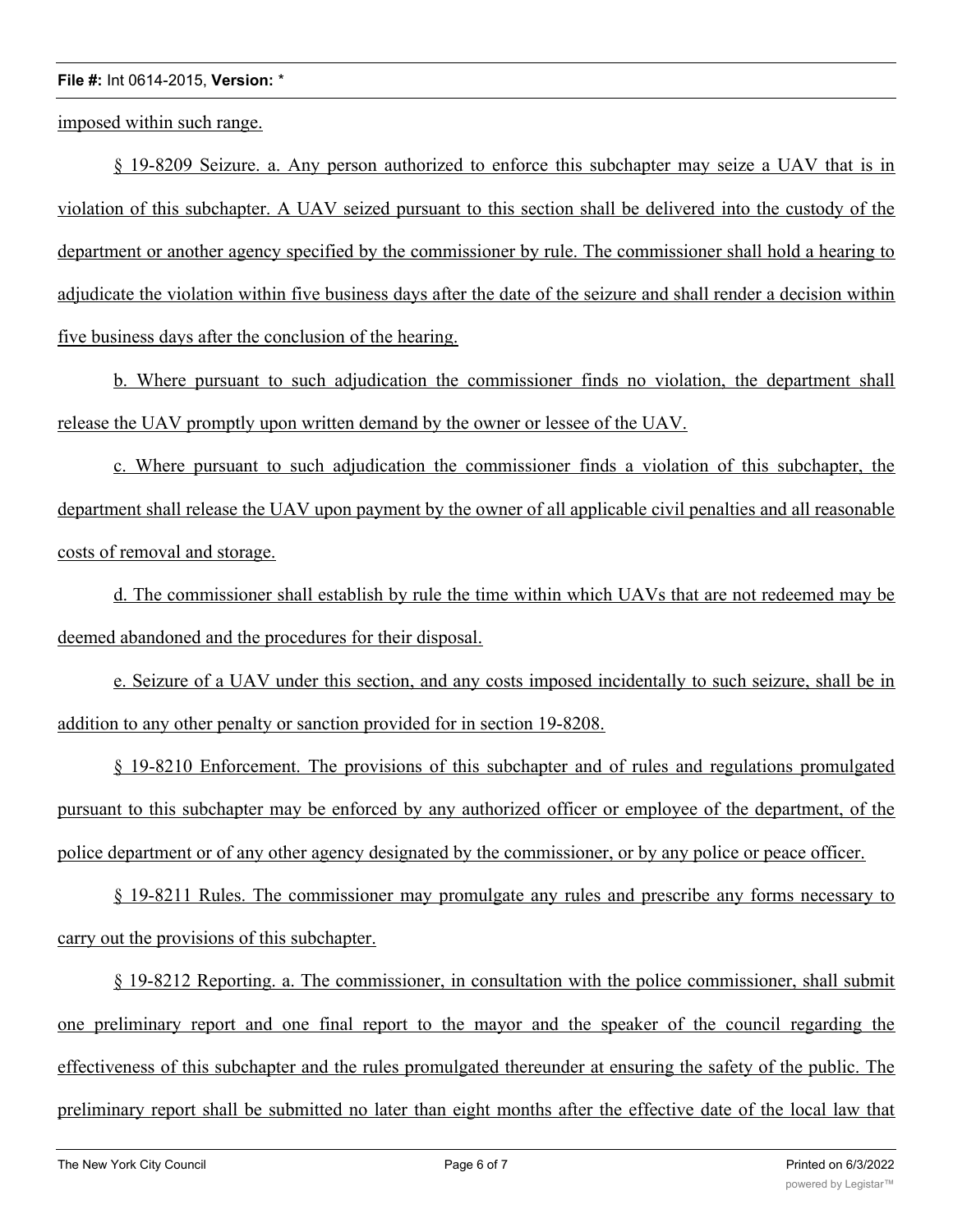imposed within such range.

§ 19-8209 Seizure. a. Any person authorized to enforce this subchapter may seize a UAV that is in violation of this subchapter. A UAV seized pursuant to this section shall be delivered into the custody of the department or another agency specified by the commissioner by rule. The commissioner shall hold a hearing to adjudicate the violation within five business days after the date of the seizure and shall render a decision within five business days after the conclusion of the hearing.

b. Where pursuant to such adjudication the commissioner finds no violation, the department shall release the UAV promptly upon written demand by the owner or lessee of the UAV.

c. Where pursuant to such adjudication the commissioner finds a violation of this subchapter, the department shall release the UAV upon payment by the owner of all applicable civil penalties and all reasonable costs of removal and storage.

d. The commissioner shall establish by rule the time within which UAVs that are not redeemed may be deemed abandoned and the procedures for their disposal.

e. Seizure of a UAV under this section, and any costs imposed incidentally to such seizure, shall be in addition to any other penalty or sanction provided for in section 19-8208.

§ 19-8210 Enforcement. The provisions of this subchapter and of rules and regulations promulgated pursuant to this subchapter may be enforced by any authorized officer or employee of the department, of the police department or of any other agency designated by the commissioner, or by any police or peace officer.

§ 19-8211 Rules. The commissioner may promulgate any rules and prescribe any forms necessary to carry out the provisions of this subchapter.

§ 19-8212 Reporting. a. The commissioner, in consultation with the police commissioner, shall submit one preliminary report and one final report to the mayor and the speaker of the council regarding the effectiveness of this subchapter and the rules promulgated thereunder at ensuring the safety of the public. The preliminary report shall be submitted no later than eight months after the effective date of the local law that